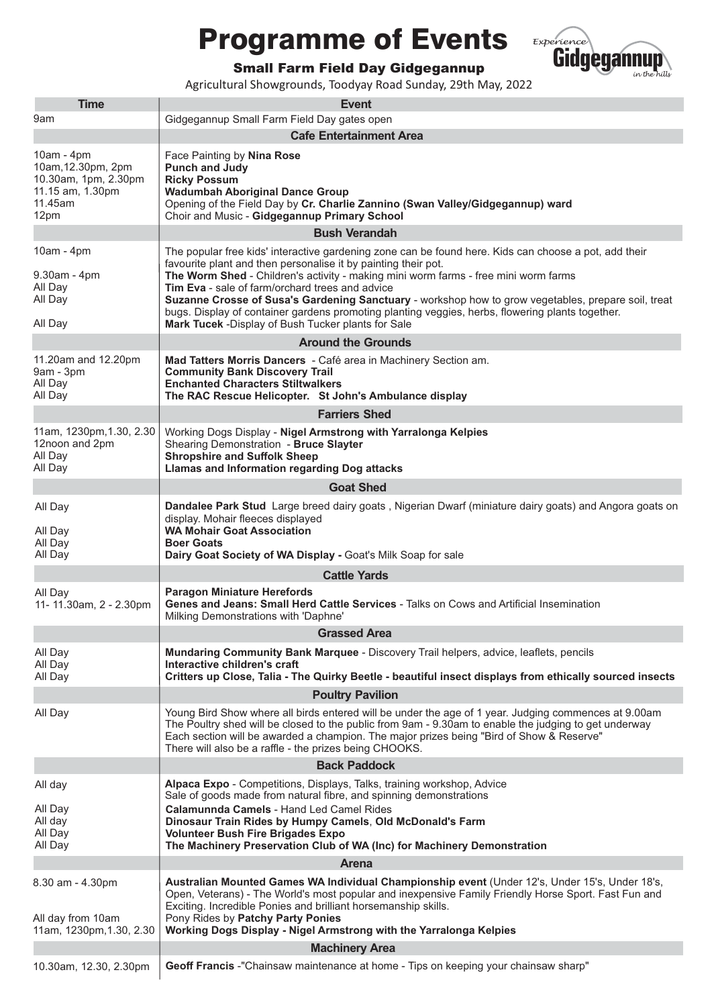## Programme of Events



Small Farm Field Day Gidgegannup

Agricultural Showgrounds, Toodyay Road Sunday, 29th May, 2022

| <b>Time</b>                                                                                     | <b>Event</b>                                                                                                                                                                                                                                                                                                                                                                                                                                                                                                                                                                       |  |
|-------------------------------------------------------------------------------------------------|------------------------------------------------------------------------------------------------------------------------------------------------------------------------------------------------------------------------------------------------------------------------------------------------------------------------------------------------------------------------------------------------------------------------------------------------------------------------------------------------------------------------------------------------------------------------------------|--|
| 9am                                                                                             | Gidgegannup Small Farm Field Day gates open                                                                                                                                                                                                                                                                                                                                                                                                                                                                                                                                        |  |
|                                                                                                 | <b>Cafe Entertainment Area</b>                                                                                                                                                                                                                                                                                                                                                                                                                                                                                                                                                     |  |
| 10am - 4pm<br>10am, 12.30pm, 2pm<br>10.30am, 1pm, 2.30pm<br>11.15 am, 1.30pm<br>11.45am<br>12pm | Face Painting by Nina Rose<br><b>Punch and Judy</b><br><b>Ricky Possum</b><br><b>Wadumbah Aboriginal Dance Group</b><br>Opening of the Field Day by Cr. Charlie Zannino (Swan Valley/Gidgegannup) ward<br>Choir and Music - Gidgegannup Primary School                                                                                                                                                                                                                                                                                                                             |  |
|                                                                                                 | <b>Bush Verandah</b>                                                                                                                                                                                                                                                                                                                                                                                                                                                                                                                                                               |  |
| $10am - 4pm$<br>$9.30am - 4pm$<br>All Day<br>All Day<br>All Day                                 | The popular free kids' interactive gardening zone can be found here. Kids can choose a pot, add their<br>favourite plant and then personalise it by painting their pot.<br>The Worm Shed - Children's activity - making mini worm farms - free mini worm farms<br>Tim Eva - sale of farm/orchard trees and advice<br>Suzanne Crosse of Susa's Gardening Sanctuary - workshop how to grow vegetables, prepare soil, treat<br>bugs. Display of container gardens promoting planting veggies, herbs, flowering plants together.<br>Mark Tucek -Display of Bush Tucker plants for Sale |  |
|                                                                                                 | <b>Around the Grounds</b>                                                                                                                                                                                                                                                                                                                                                                                                                                                                                                                                                          |  |
| 11.20am and 12.20pm<br>$9am - 3pm$<br>All Day<br>All Day                                        | Mad Tatters Morris Dancers - Café area in Machinery Section am.<br><b>Community Bank Discovery Trail</b><br><b>Enchanted Characters Stiltwalkers</b><br>The RAC Rescue Helicopter. St John's Ambulance display                                                                                                                                                                                                                                                                                                                                                                     |  |
|                                                                                                 | <b>Farriers Shed</b>                                                                                                                                                                                                                                                                                                                                                                                                                                                                                                                                                               |  |
| 11am, 1230pm, 1.30, 2.30<br>12noon and 2pm<br>All Day<br>All Day                                | Working Dogs Display - Nigel Armstrong with Yarralonga Kelpies<br>Shearing Demonstration - Bruce Slayter<br><b>Shropshire and Suffolk Sheep</b><br><b>Llamas and Information regarding Dog attacks</b>                                                                                                                                                                                                                                                                                                                                                                             |  |
| <b>Goat Shed</b>                                                                                |                                                                                                                                                                                                                                                                                                                                                                                                                                                                                                                                                                                    |  |
| All Day<br>All Day<br>All Day<br>All Day                                                        | Dandalee Park Stud Large breed dairy goats, Nigerian Dwarf (miniature dairy goats) and Angora goats on<br>display. Mohair fleeces displayed<br><b>WA Mohair Goat Association</b><br><b>Boer Goats</b><br>Dairy Goat Society of WA Display - Goat's Milk Soap for sale                                                                                                                                                                                                                                                                                                              |  |
|                                                                                                 | <b>Cattle Yards</b>                                                                                                                                                                                                                                                                                                                                                                                                                                                                                                                                                                |  |
| All Day<br>11-11.30am, 2 - 2.30pm                                                               | <b>Paragon Miniature Herefords</b><br>Genes and Jeans: Small Herd Cattle Services - Talks on Cows and Artificial Insemination<br>Milking Demonstrations with 'Daphne'                                                                                                                                                                                                                                                                                                                                                                                                              |  |
|                                                                                                 | <b>Grassed Area</b>                                                                                                                                                                                                                                                                                                                                                                                                                                                                                                                                                                |  |
| All Day<br>All Day<br>All Day                                                                   | Mundaring Community Bank Marquee - Discovery Trail helpers, advice, leaflets, pencils<br>Interactive children's craft<br>Critters up Close, Talia - The Quirky Beetle - beautiful insect displays from ethically sourced insects                                                                                                                                                                                                                                                                                                                                                   |  |
| <b>Poultry Pavilion</b>                                                                         |                                                                                                                                                                                                                                                                                                                                                                                                                                                                                                                                                                                    |  |
| All Day                                                                                         | Young Bird Show where all birds entered will be under the age of 1 year. Judging commences at 9.00am<br>The Poultry shed will be closed to the public from 9am - 9.30am to enable the judging to get underway<br>Each section will be awarded a champion. The major prizes being "Bird of Show & Reserve"<br>There will also be a raffle - the prizes being CHOOKS.                                                                                                                                                                                                                |  |
|                                                                                                 | <b>Back Paddock</b>                                                                                                                                                                                                                                                                                                                                                                                                                                                                                                                                                                |  |
| All day                                                                                         | Alpaca Expo - Competitions, Displays, Talks, training workshop, Advice<br>Sale of goods made from natural fibre, and spinning demonstrations                                                                                                                                                                                                                                                                                                                                                                                                                                       |  |
| All Day<br>All day<br>All Day<br>All Day                                                        | Calamunnda Camels - Hand Led Camel Rides<br>Dinosaur Train Rides by Humpy Camels, Old McDonald's Farm<br><b>Volunteer Bush Fire Brigades Expo</b><br>The Machinery Preservation Club of WA (Inc) for Machinery Demonstration                                                                                                                                                                                                                                                                                                                                                       |  |
| Arena                                                                                           |                                                                                                                                                                                                                                                                                                                                                                                                                                                                                                                                                                                    |  |
| 8.30 am - 4.30pm<br>All day from 10am<br>11am, 1230pm, 1.30, 2.30                               | Australian Mounted Games WA Individual Championship event (Under 12's, Under 15's, Under 18's,<br>Open, Veterans) - The World's most popular and inexpensive Family Friendly Horse Sport. Fast Fun and<br>Exciting. Incredible Ponies and brilliant horsemanship skills.<br>Pony Rides by Patchy Party Ponies<br>Working Dogs Display - Nigel Armstrong with the Yarralonga Kelpies                                                                                                                                                                                                |  |
|                                                                                                 | <b>Machinery Area</b>                                                                                                                                                                                                                                                                                                                                                                                                                                                                                                                                                              |  |
| 10.30am, 12.30, 2.30pm                                                                          | Geoff Francis -"Chainsaw maintenance at home - Tips on keeping your chainsaw sharp"                                                                                                                                                                                                                                                                                                                                                                                                                                                                                                |  |